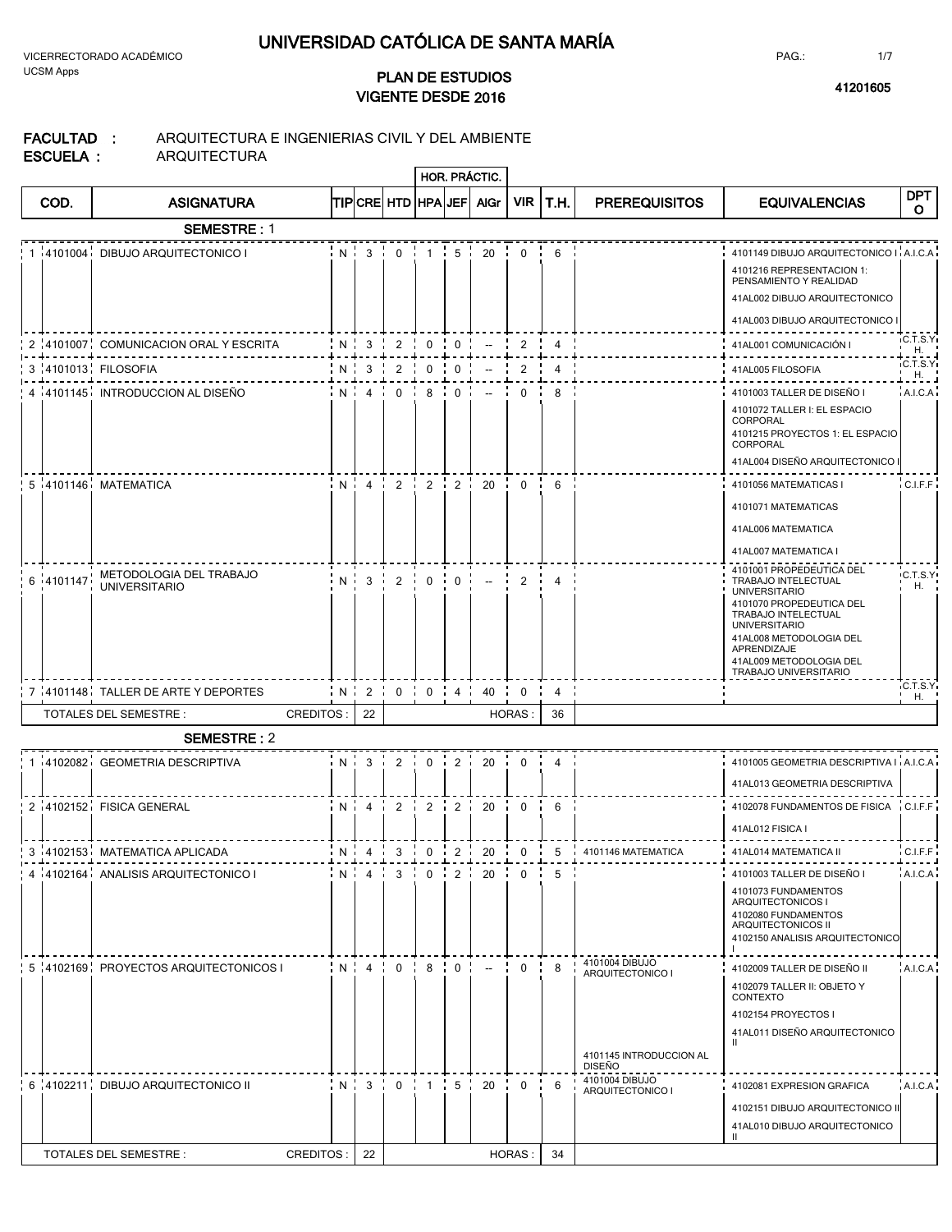**2016 <sup>41201605</sup> VIGENTE DESDE PLAN DE ESTUDIOS**

**HOR. PRÁCTIC.**

**FACULTAD : ESCUELA :** ARQUITECTURA E INGENIERIAS CIVIL Y DEL AMBIENTE ARQUITECTURA

| COD.          | <b>ASIGNATURA</b>                               |            |                                      |                                                        |                                  | TIPICRE HTD HPA JEF AIGr                             | VIR I          | T.H.           | <b>PREREQUISITOS</b>                                                                             | <b>EQUIVALENCIAS</b>                                                                                                                                                                                                                             | DPT<br>O       |
|---------------|-------------------------------------------------|------------|--------------------------------------|--------------------------------------------------------|----------------------------------|------------------------------------------------------|----------------|----------------|--------------------------------------------------------------------------------------------------|--------------------------------------------------------------------------------------------------------------------------------------------------------------------------------------------------------------------------------------------------|----------------|
|               | <b>SEMESTRE: 1</b>                              |            |                                      |                                                        |                                  |                                                      |                |                |                                                                                                  |                                                                                                                                                                                                                                                  |                |
|               | 1 4101004 DIBUJO ARQUITECTONICO I               |            | N:3:0                                |                                                        | $1$ $\frac{1}{5}$                | 20                                                   | $\mathbf{0}$   | 6              |                                                                                                  | 4101149 DIBUJO ARQUITECTONICO I A.I.C.A<br>4101216 REPRESENTACION 1:<br>PENSAMIENTO Y REALIDAD<br>41AL002 DIBUJO ARQUITECTONICO<br>41AL003 DIBUJO ARQUITECTONICO                                                                                 |                |
|               | 2 :4101007 COMUNICACION ORAL Y ESCRITA          | N:3:2      |                                      | $\begin{array}{cc} 1 & 0 & 1 \\ 0 & 0 & 0 \end{array}$ |                                  | $\overline{\phantom{a}}$                             | 2              | $\overline{4}$ |                                                                                                  | 41AL001 COMUNICACIÓN I                                                                                                                                                                                                                           | <b>C.T.S.Y</b> |
|               | 3 4101013 FILOSOFIA                             | $N \mid 3$ | 2                                    | $0 \cdot$                                              | $\mathbf 0$                      |                                                      | 2              | $\overline{4}$ |                                                                                                  | 41AL005 FILOSOFIA                                                                                                                                                                                                                                | H.<br>C.T.S.Y  |
|               | 4 i 4101145 INTRODUCCION AL DISEÑO              |            | $N:4:0:8:0:-$                        |                                                        |                                  |                                                      | $\mathbf{0}$   | -8             |                                                                                                  | 4101003 TALLER DE DISEÑO I<br>4101072 TALLER I: EL ESPACIO<br>CORPORAL<br>4101215 PROYECTOS 1: EL ESPACIO<br>CORPORAL<br>41AL004 DISEÑO ARQUITECTONICO                                                                                           | H.<br>A.I.C.A  |
|               | 5 4101146 MATEMATICA                            |            |                                      |                                                        |                                  | $N$ , $4$ , $2$ , $2$ , $2$ , $2$ , $20$ , $0$ , $6$ |                |                |                                                                                                  | 4101056 MATEMATICAS I<br>4101071 MATEMATICAS<br>41AL006 MATEMATICA<br>41AL007 MATEMATICA I                                                                                                                                                       | CLF.F          |
| $6 - 4101147$ | METODOLOGIA DEL TRABAJO<br><b>UNIVERSITARIO</b> | $N3$ 2     |                                      | $\mathbf 0$                                            | 0 <sub>1</sub><br>$\blacksquare$ | $\overline{\phantom{a}}$                             | 2              | $\overline{4}$ |                                                                                                  | 4101001 PROPEDEUTICA DEL<br>TRABAJO INTELECTUAL<br><b>UNIVERSITARIO</b><br>4101070 PROPEDEUTICA DEL<br>TRABAJO INTELECTUAL<br><b>UNIVERSITARIO</b><br>41AL008 METODOLOGIA DEL<br>APRENDIZAJE<br>41AL009 METODOLOGIA DEL<br>TRABAJO UNIVERSITARIO | C.T.S.Y<br>H.  |
|               | 7 4101148 TALLER DE ARTE Y DEPORTES             |            | N:2:0:0:4:                           |                                                        |                                  | $40 \quad$                                           | 0 <sub>i</sub> | $\overline{4}$ |                                                                                                  |                                                                                                                                                                                                                                                  | C.T.S.Y<br>H.  |
|               | TOTALES DEL SEMESTRE :<br>CREDITOS:             | 22         |                                      |                                                        |                                  |                                                      | <b>HORAS:</b>  | 36             |                                                                                                  |                                                                                                                                                                                                                                                  |                |
|               | <b>SEMESTRE: 2</b>                              |            |                                      |                                                        |                                  |                                                      |                |                |                                                                                                  |                                                                                                                                                                                                                                                  |                |
|               | 1 4102082 GEOMETRIA DESCRIPTIVA                 |            | N:3:2:0:2                            |                                                        |                                  | 20                                                   | $0 - i$        | $\overline{4}$ |                                                                                                  | 4101005 GEOMETRIA DESCRIPTIVA I A.I.C.A<br>41AL013 GEOMETRIA DESCRIPTIVA                                                                                                                                                                         |                |
|               | 2 4102152 FISICA GENERAL                        |            | $N$ $4$ $2$ $2$ $2$ $2$ $2$ $2$ $20$ |                                                        |                                  |                                                      | $0 \quad 6$    |                |                                                                                                  | 4102078 FUNDAMENTOS DE FISICA C.I.F.F<br>41AL012 FISICA I                                                                                                                                                                                        |                |
|               | 3 -4102153 MATEMATICA APLICADA                  |            | $N$ , 4, 3, 0, 2, 20                 |                                                        |                                  |                                                      | $0 - i$        |                | 5 i 4101146 MATEMATICA                                                                           | 41AL014 MATEMATICA II                                                                                                                                                                                                                            | C.I.F.F        |
|               | 4 4102164 ANALISIS ARQUITECTONICO I             |            | $N$ $4$ $3$ $0$ $2$ $2$ $20$         |                                                        |                                  |                                                      | $0 - i$        | 5              |                                                                                                  | 4101003 TALLER DE DISEÑO I<br>4101073 FUNDAMENTOS<br>ARQUITECTONICOS I<br>4102080 FUNDAMENTOS<br>ARQUITECTONICOS II<br>4102150 ANALISIS ARQUITECTONICO                                                                                           | A.I.C.A        |
|               | 5 4102169 PROYECTOS ARQUITECTONICOS I           |            | $N$ , $4$ , $0$ , $8$ , $0$ ,        |                                                        |                                  | $-$                                                  | $\Omega$       | 8              | 4101004 DIBUJO<br>ARQUITECTONICO I<br>4101145 INTRODUCCION AL<br><b>DISEÑO</b><br>4101004 DIBUJO | 4102009 TALLER DE DISEÑO II<br>4102079 TALLER II: OBJETO Y<br>CONTEXTO<br>4102154 PROYECTOS I<br>41AL011 DISEÑO ARQUITECTONICO<br>$\mathbf{I}$                                                                                                   | A.I.C.A        |
|               | 6 4102211 DIBUJO ARQUITECTONICO II              |            | $N$ , $3$ , $0$ , $1$ , $5$ ,        |                                                        |                                  | 20                                                   | $\mathbf{0}$   | 6              | ARQUITECTONICO                                                                                   | 4102081 EXPRESION GRAFICA                                                                                                                                                                                                                        | A.I.C.A        |

TOTALES DEL SEMESTRE : CREDITOS : 22 HORAS : 34

PAG.:

4102151 DIBUJO ARQUITECTONICO II 41AL010 DIBUJO ARQUITECTONICO

**II**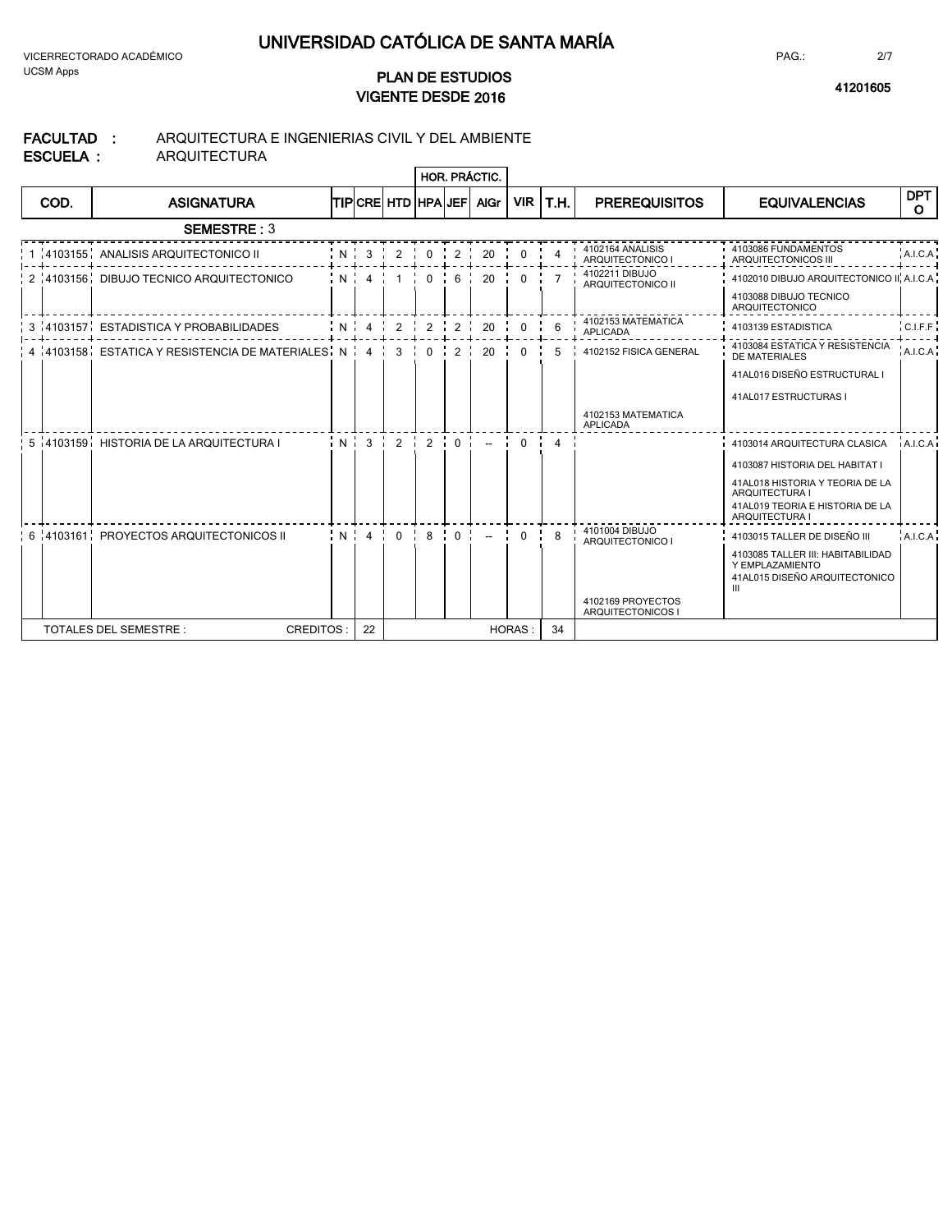### **2016 <sup>41201605</sup> VIGENTE DESDE PLAN DE ESTUDIOS**

PAG.:

#### **FACULTAD : ESCUELA :** ARQUITECTURA E INGENIERIAS CIVIL Y DEL AMBIENTE ARQUITECTURA

|      |                                                                         |            |  |      | HOR. PRÁCTIC.                                                               |            |               |                                        |                                                          |                       |
|------|-------------------------------------------------------------------------|------------|--|------|-----------------------------------------------------------------------------|------------|---------------|----------------------------------------|----------------------------------------------------------|-----------------------|
| COD. | <b>ASIGNATURA</b>                                                       |            |  |      | <b>TIPICRE HTD HPAUEFL AGr</b>                                              | <b>VIR</b> | T.H.          | <b>PREREQUISITOS</b>                   | <b>EQUIVALENCIAS</b>                                     | DPT I<br>$\mathbf{O}$ |
|      | <b>SEMESTRE: 3</b>                                                      |            |  |      |                                                                             |            |               |                                        |                                                          |                       |
|      | 1 4103155 ANALISIS ARQUITECTONICO II                                    |            |  |      | 20                                                                          | 0          |               | 4102164 ANALISIS<br>ARQUITECTONICO I   | 4103086 FUNDAMENTOS<br>ARQUITECTONICOS III               | A.I.C.A               |
|      | 2 4103156 DIBUJO TECNICO ARQUITECTONICO                                 | $:N$ 4 $1$ |  |      | $0$ $6$ $1$ 20                                                              | $\Omega$   |               | 4102211 DIBUJO<br>ARQUITECTONICO II    | 4102010 DIBUJO ARQUITECTONICO II, A.I.C.A.               |                       |
|      |                                                                         |            |  |      |                                                                             |            |               |                                        | 4103088 DIBUJO TECNICO<br>ARQUITECTONICO                 |                       |
|      | 3 4103157 ESTADISTICA Y PROBABILIDADES                                  |            |  |      | 1 N 4 4 2 2 2 2 2 2 2 1                                                     | $\Omega$   | 6             | 4102153 MATEMATICA<br><b>APLICADA</b>  | 4103139 ESTADISTICA                                      | $C_{LFF}$             |
|      | $4,4103158$ , ESTATICA Y RESISTENCIA DE MATERIALES, N $4, 4, 3, \ldots$ |            |  | 0:2: | 20                                                                          |            |               | 4102152 FISICA GENERAL                 | 4103084 ESTATICA Y RESISTENCIA<br>DE MATERIALES          | A.I.C.A               |
|      |                                                                         |            |  |      |                                                                             |            |               |                                        | 41AL016 DISEÑO ESTRUCTURAL I                             |                       |
|      |                                                                         |            |  |      |                                                                             |            |               |                                        | 41AL017 ESTRUCTURAS I                                    |                       |
|      |                                                                         |            |  |      |                                                                             |            |               | 4102153 MATEMATICA<br>APLICADA         |                                                          |                       |
|      | 5 4103159 HISTORIA DE LA ARQUITECTURA I                                 |            |  |      | $ N $ 3 $ 2$ $ 2$ $ 0$ $ $ $ 2$ $ 0$ $ 4$ $ $                               |            |               |                                        | 4103014 ARQUITECTURA CLASICA                             | A <sub>LCA</sub>      |
|      |                                                                         |            |  |      |                                                                             |            |               |                                        | 4103087 HISTORIA DEL HABITAT I                           |                       |
|      |                                                                         |            |  |      |                                                                             |            |               |                                        | 41AL018 HISTORIA Y TEORIA DE LA<br><b>ARQUITECTURA I</b> |                       |
|      |                                                                         |            |  |      |                                                                             |            |               |                                        | 41AL019 TEORIA E HISTORIA DE LA<br><b>ARQUITECTURA I</b> |                       |
|      | 6 4103161 PROYECTOS ARQUITECTONICOS II                                  |            |  |      | $1 \times 1 \times 4 \times 0 \times 8 \times 0 \times 1 \times 1 \times 0$ |            | <b>I</b><br>8 | 4101004 DIBUJO<br>ARQUITECTONICO I     | 4103015 TALLER DE DISEÑO III                             | A.I.C.A               |
|      |                                                                         |            |  |      |                                                                             |            |               |                                        | 4103085 TALLER III: HABITABILIDAD<br>Y EMPLAZAMIENTO     |                       |
|      |                                                                         |            |  |      |                                                                             |            |               |                                        | 41AL015 DISEÑO ARQUITECTONICO<br>Ш                       |                       |
|      |                                                                         |            |  |      |                                                                             |            |               | 4102169 PROYECTOS<br>ARQUITECTONICOS I |                                                          |                       |
|      | <b>TOTALES DEL SEMESTRE:</b><br>CREDITOS:                               | 22         |  |      |                                                                             | HORAS:     | 34            |                                        |                                                          |                       |

2/7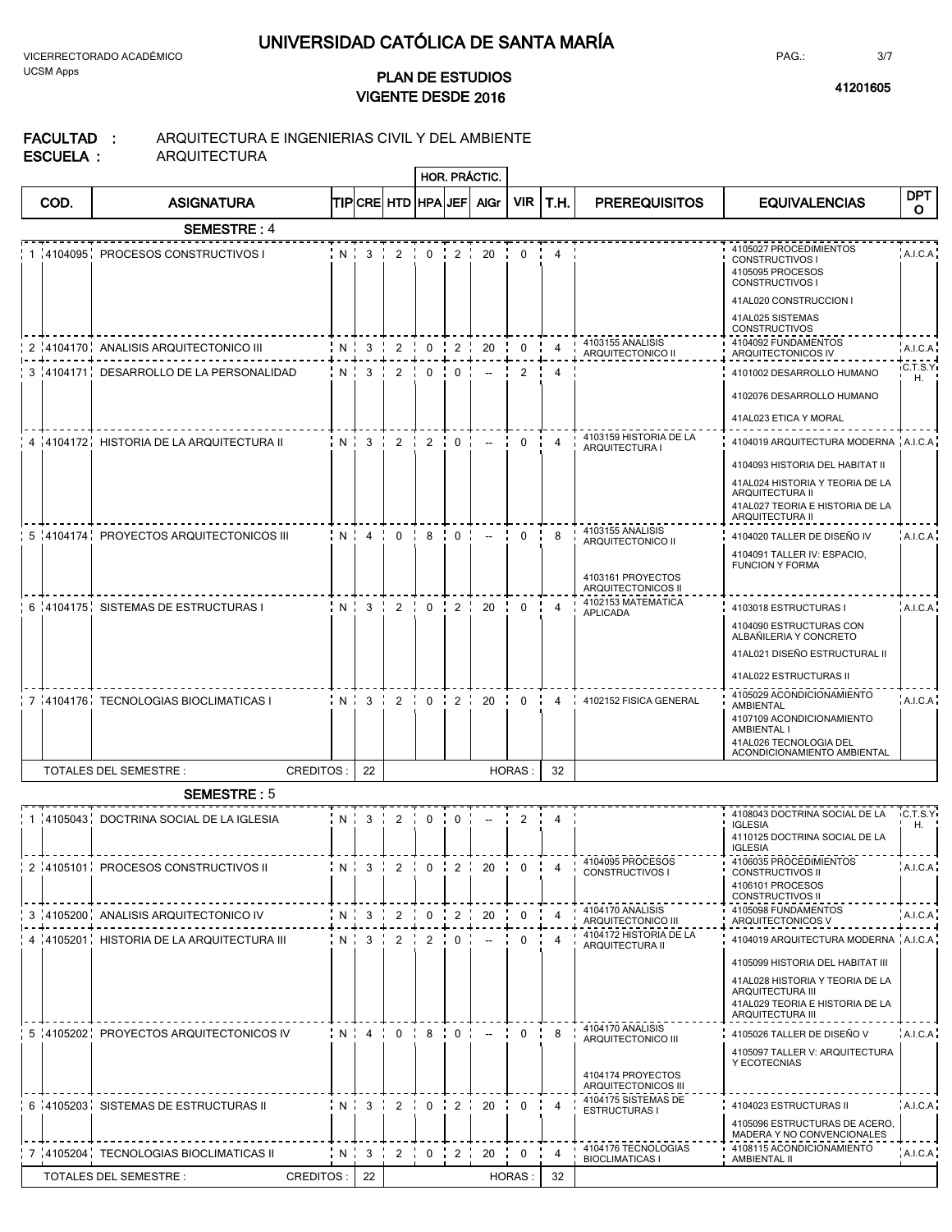**2016 <sup>41201605</sup> VIGENTE DESDE PLAN DE ESTUDIOS**

 $\overline{a}$ 

PAG.:

#### **FACULTAD :** ARQUITECTURA E INGENIERIAS CIVIL Y DEL AMBIENTE

|  | ESCUELA : |  |
|--|-----------|--|

ARQUITECTURA

|      |                                            |                        |                |              |                             | <b>HOR. PRÁCTIC.</b>     |               |                |                                                                                    |                                                                                                                                                                                         |                       |
|------|--------------------------------------------|------------------------|----------------|--------------|-----------------------------|--------------------------|---------------|----------------|------------------------------------------------------------------------------------|-----------------------------------------------------------------------------------------------------------------------------------------------------------------------------------------|-----------------------|
| COD. | <b>ASIGNATURA</b>                          | TIP CRE  HTD   HPA JEF |                |              |                             | <b>AlGr</b>              |               | VIR T.H.       | <b>PREREQUISITOS</b>                                                               | <b>EQUIVALENCIAS</b>                                                                                                                                                                    | <b>DPT</b><br>O       |
|      | <b>SEMESTRE: 4</b>                         |                        |                |              |                             |                          |               |                |                                                                                    |                                                                                                                                                                                         |                       |
|      | 1 4104095 PROCESOS CONSTRUCTIVOS           | $N \cdot 3$            | 2 <sub>i</sub> |              |                             | $0 \t1 \t2 \t20$         | $\mathbf 0$   | 4              |                                                                                    | 4105027 PROCEDIMIENTOS<br><b>CONSTRUCTIVOS I</b><br>4105095 PROCESOS<br>CONSTRUCTIVOS I<br>41AL020 CONSTRUCCION I<br>41AL025 SISTEMAS                                                   | A.I.C.A               |
|      | 2 4104170 ANALISIS ARQUITECTONICO III      | $N \cdot 3$            | 2              | $0 \quad$    | 2 <sub>i</sub>              | 20                       | $\mathbf 0$   | 4              | 4103155 ANALISIS<br>ARQUITECTONICO II                                              | <b>CONSTRUCTIVOS</b><br>4104092 FUNDAMENTOS                                                                                                                                             | A.I.C.A               |
|      | 3 4104171 DESARROLLO DE LA PERSONALIDAD    | $N$ $3$ $2$            |                |              | $0 \cdot 0 \cdot$           | $\overline{\phantom{a}}$ | 2             | 4              |                                                                                    | ARQUITECTONICOS IV<br>4101002 DESARROLLO HUMANO                                                                                                                                         | C.T.S.Yi              |
|      |                                            |                        |                |              |                             |                          |               |                |                                                                                    | 4102076 DESARROLLO HUMANO                                                                                                                                                               | Η.                    |
|      | 4 4104172 HISTORIA DE LA ARQUITECTURA II   |                        |                |              |                             | $N:3:2:2:0:-$            | $\mathbf{0}$  | $\overline{4}$ | 4103159 HISTORIA DE LA                                                             | 41AL023 ETICA Y MORAL<br>4104019 ARQUITECTURA MODERNA A.I.C.A                                                                                                                           |                       |
|      |                                            |                        |                |              |                             |                          |               |                | ARQUITECTURA I                                                                     | 4104093 HISTORIA DEL HABITAT II<br>41AL024 HISTORIA Y TEORIA DE LA<br>ARQUITECTURA II<br>41AL027 TEORIA E HISTORIA DE LA<br>ARQUITECTURA II                                             |                       |
|      | 5 4104174 PROYECTOS ARQUITECTONICOS III    | $N$ $4$ $0$ $1$        |                |              | 80.                         | $\sim$                   | $\Omega$      | 8              | 4103155 ANALISIS<br>ARQUITECTONICO II<br>4103161 PROYECTOS<br>ARQUITECTONICOS II   | 4104020 TALLER DE DISEÑO IV<br>4104091 TALLER IV: ESPACIO,<br><b>FUNCION Y FORMA</b>                                                                                                    | A.I.C.A               |
|      | 6 4104175 SISTEMAS DE ESTRUCTURAS I        | $N$ $3$ $2$            |                | $\mathbf{0}$ | 2                           | 20                       | $\mathbf 0$   | $\overline{4}$ | 4102153 MATEMATICA<br><b>APLICADA</b>                                              | 4103018 ESTRUCTURAS I                                                                                                                                                                   | A.I.C.A               |
|      |                                            |                        |                |              |                             |                          |               |                |                                                                                    | 4104090 ESTRUCTURAS CON<br>ALBAÑILERIA Y CONCRETO<br>41AL021 DISEÑO ESTRUCTURAL II<br>41AL022 ESTRUCTURAS II                                                                            |                       |
|      | 7 4104176 TECNOLOGIAS BIOCLIMATICAS I      | $N$ $3$ $1$            | $\overline{2}$ |              | $0 \cdot 2 \cdot$           | 20                       | $\mathbf 0$   | 4              | 4102152 FISICA GENERAL                                                             | 4105029 ACONDICIONAMIENTO<br>AMBIENTAL<br>4107109 ACONDICIONAMIENTO<br>AMBIENTAL I<br>41AL026 TECNOLOGIA DEL<br>ACONDICIONAMIENTO AMBIENTAL                                             | A.I.C.A.              |
|      | TOTALES DEL SEMESTRE :<br><b>CREDITOS:</b> | 22                     |                |              |                             |                          | <b>HORAS:</b> | 32             |                                                                                    |                                                                                                                                                                                         |                       |
|      | <b>SEMESTRE: 5</b>                         |                        |                |              |                             |                          |               |                |                                                                                    |                                                                                                                                                                                         |                       |
|      | 1 4105043 DOCTRINA SOCIAL DE LA IGLESIA    | $N \cdot 3$            | $2 \cdot$      |              | $0 \quad 0 \quad 0 \quad 1$ | $\sim$                   | $2 \cdot$     | 4              |                                                                                    | 4108043 DOCTRINA SOCIAL DE LA<br><b>IGLESIA</b><br>4110125 DOCTRINA SOCIAL DE LA<br><b>IGLESIA</b>                                                                                      | <b>IC.T.S.Y</b><br>Η. |
|      | 2 4105101 PROCESOS CONSTRUCTIVOS II        |                        |                |              |                             |                          |               |                | N   3   2   0   2   20   0   4   4104095 PROCESOS<br>CONSTRUCTIVOS I               | 4106035 PROCEDIMIENTOS<br><b>CONSTRUCTIVOS II</b><br>4106101 PROCESOS<br><b>CONSTRUCTIVOS II</b>                                                                                        | A.I.C.A               |
|      | 3 4105200 ANALISIS ARQUITECTONICO IV       | $N \mid 3$             | $\overline{2}$ | $\mathbf 0$  | $\overline{2}$              | 20                       | 0             | $\overline{4}$ | 4104170 ANALISIS<br>ARQUITECTONICO III                                             | 4105098 FUNDAMENTOS<br>ARQUITECTONICOS V                                                                                                                                                | A.I.C.A               |
|      | 4 :4105201 HISTORIA DE LA ARQUITECTURA III | $N \cdot 3$            | 2              | $2 - i$      | $\Omega$                    | $\overline{\phantom{a}}$ | 0             | 4              | 4104172 HISTORIA DE LA<br>ARQUITECTURA II                                          | 4104019 ARQUITECTURA MODERNA A.I.C.A.<br>4105099 HISTORIA DEL HABITAT III<br>41AL028 HISTORIA Y TEORIA DE LA<br>ARQUITECTURA III<br>41AL029 TEORIA E HISTORIA DE LA<br>ARQUITECTURA III |                       |
|      | 5 4105202 PROYECTOS ARQUITECTONICOS IV     | $N + 4$                | $0 \cdot$      |              | $8 \cdot 0 \cdot$           | $\overline{\phantom{a}}$ | $\mathbf 0$   | 8              | 4104170 ANALISIS<br>ARQUITECTONICO III<br>4104174 PROYECTOS<br>ARQUITECTONICOS III | 4105026 TALLER DE DISEÑO V<br>4105097 TALLER V: ARQUITECTURA<br>Y ECOTECNIAS                                                                                                            | A.I.C.A               |
|      | 6 4105203 SISTEMAS DE ESTRUCTURAS II       | N:3:2:                 |                |              |                             | $0$ $1$ $2$ $1$ $20$     | $\mathbf 0$   | $\overline{4}$ | 4104175 SISTEMAS DE<br><b>ESTRUCTURAS1</b>                                         | 4104023 ESTRUCTURAS II<br>4105096 ESTRUCTURAS DE ACERO,<br>MADERA Y NO CONVENCIONALES                                                                                                   | A.I.C.A               |
|      | 7 4105204 TECNOLOGIAS BIOCLIMATICAS II     | N 3                    | $\overline{2}$ |              | $0 \t{1}2$                  | 20                       | $\mathbf 0$   | $\overline{4}$ | 4104176 TECNOLOGIAS<br><b>BIOCLIMATICAS I</b>                                      | 4108115 ACONDICIONAMIENTO<br>AMBIENTAL II                                                                                                                                               | A.I.C.A               |
|      | CREDITOS:<br>TOTALES DEL SEMESTRE :        | 22                     |                |              |                             |                          | HORAS:        | 32             |                                                                                    |                                                                                                                                                                                         |                       |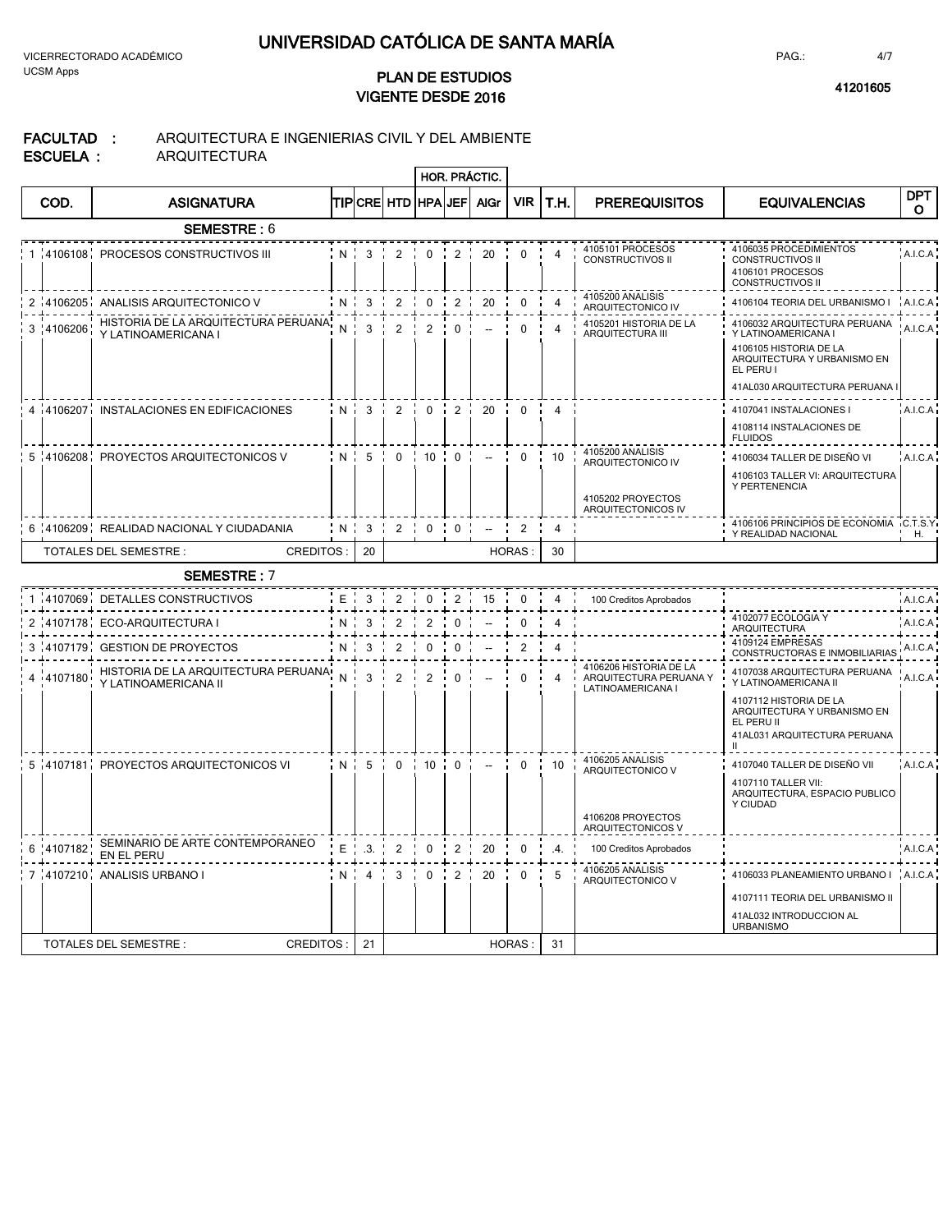VICERRECTORADO ACADÉMICO UCSM Apps

## **2016 <sup>41201605</sup> VIGENTE DESDE PLAN DE ESTUDIOS**

PAG.:

### **FACULTAD :** ARQUITECTURA E INGENIERIAS CIVIL Y DEL AMBIENTE **QUITECTURA**

|                              | AL 14 |
|------------------------------|-------|
| ESCUELA :<br>AR <sub>C</sub> |       |

|   |            |                                                             |       |                |                         |                                                  |                 | HOR. PRÁCTIC.            |                |                       |                                                                                |                                                                                                                                                             |                       |
|---|------------|-------------------------------------------------------------|-------|----------------|-------------------------|--------------------------------------------------|-----------------|--------------------------|----------------|-----------------------|--------------------------------------------------------------------------------|-------------------------------------------------------------------------------------------------------------------------------------------------------------|-----------------------|
|   | COD.       | <b>ASIGNATURA</b>                                           |       |                | <b>TIPICRE HTD</b>      | <b>HPA</b>                                       | JEF             | <b>AIGr</b>              | <b>VIR</b>     | T.H.                  | <b>PREREQUISITOS</b>                                                           | <b>EQUIVALENCIAS</b>                                                                                                                                        | <b>DPT</b><br>$\circ$ |
|   |            | <b>SEMESTRE: 6</b>                                          |       |                |                         |                                                  |                 |                          |                |                       |                                                                                |                                                                                                                                                             |                       |
|   |            | 1 4106108 PROCESOS CONSTRUCTIVOS III                        |       | $N$ $3$ $1$    | $\overline{2}$          |                                                  | $0 \t2$         | 20                       | $\Omega$       | 4                     | 4105101 PROCESOS<br><b>CONSTRUCTIVOS II</b>                                    | 4106035 PROCEDIMIENTOS<br>CONSTRUCTIVOS II<br>4106101 PROCESOS<br>CONSTRUCTIVOS II                                                                          | A.I.C.A               |
|   |            | 2 4106205 ANALISIS ARQUITECTONICO V                         | N     | $\mathbf{3}$   | 2                       | $\mathbf 0$                                      | $\frac{1}{2}$   | 20                       | $\mathbf 0$    | $\overline{4}$        | 4105200 ANALISIS<br>ARQUITECTONICO IV                                          | 4106104 TEORIA DEL URBANISMO I                                                                                                                              | A.I.C.A               |
|   | 3 !4106206 | HISTORIA DE LA ARQUITECTURA PERUANA,<br>Y LATINOAMERICANA I | N     | 3              | $\overline{2}$          | 2                                                | $\mathbf 0$     | $\overline{\phantom{a}}$ | $\mathbf{0}$   | 4                     | 4105201 HISTORIA DE LA<br><b>ARQUITECTURA III</b>                              | 4106032 ARQUITECTURA PERUANA<br>Y LATINOAMERICANA I<br>4106105 HISTORIA DE LA<br>ARQUITECTURA Y URBANISMO EN<br>EL PERU I<br>41AL030 ARQUITECTURA PERUANA   | A.I.C.A               |
|   |            | 4 4106207 INSTALACIONES EN EDIFICACIONES                    |       | $N1$ 3 $22$    |                         | $\frac{1}{2}$ 0 $\frac{1}{2}$ 2 $\frac{1}{2}$ 20 |                 |                          | $\Omega$       | $\overline{4}$        |                                                                                | 4107041 INSTALACIONES I                                                                                                                                     | A.I.C.A               |
|   |            |                                                             |       |                |                         |                                                  |                 |                          |                |                       |                                                                                | 4108114 INSTALACIONES DE<br><b>FLUIDOS</b>                                                                                                                  |                       |
|   |            | 5 4106208 PROYECTOS ARQUITECTONICOS V                       |       | N:5            | $\overline{\mathbf{0}}$ |                                                  | 10:0:           | $\overline{\phantom{a}}$ | $\mathbf 0$    | 10                    | 4105200 ANALISIS<br>ARQUITECTONICO IV                                          | 4106034 TALLER DE DISEÑO VI                                                                                                                                 | A.I.C.A               |
|   |            |                                                             |       |                |                         |                                                  |                 |                          |                |                       | 4105202 PROYECTOS<br>ARQUITECTONICOS IV                                        | 4106103 TALLER VI: ARQUITECTURA<br>Y PERTENENCIA                                                                                                            |                       |
|   |            | 6 4106209 REALIDAD NACIONAL Y CIUDADANIA                    | N     | $\mathbf{3}$   | $\overline{2}$          | $\Omega$                                         | $\frac{1}{1}$ 0 | $\overline{a}$           | $\overline{2}$ | $\overline{4}$        |                                                                                | 4106106 PRINCIPIOS DE ECONOMIA C.T.S.Y<br>Y REALIDAD NACIONAL                                                                                               | Η.                    |
|   |            | TOTALES DEL SEMESTRE :<br><b>CREDITOS:</b>                  |       | 20             |                         |                                                  |                 |                          | <b>HORAS</b>   | 30                    |                                                                                |                                                                                                                                                             |                       |
|   |            | <b>SEMESTRE: 7</b>                                          |       |                |                         |                                                  |                 |                          |                |                       |                                                                                |                                                                                                                                                             |                       |
|   |            | 1 4107069 DETALLES CONSTRUCTIVOS                            | E     | 3              | 2                       | $\mathbf{0}$                                     | $\overline{2}$  | 15                       | $\mathbf 0$    | 4                     | 100 Creditos Aprobados                                                         |                                                                                                                                                             | A.I.C.A               |
| 2 |            | 4107178 ECO-ARQUITECTURA I                                  | N     | 3              | 2                       | $\overline{2}$                                   | $\mathbf 0$     |                          | 0              | $\overline{4}$        |                                                                                | 4102077 ECOLOGIA Y<br>ARQUITECTURA                                                                                                                          | A.I.C.A               |
|   |            | 3 4107179 GESTION DE PROYECTOS                              | N     | 3              | $\overline{c}$          | 0                                                | 0               |                          | $\overline{2}$ | 4                     |                                                                                | 4109124 EMPRESAS<br>CONSTRUCTORAS E INMOBILIARIAS                                                                                                           | A.I.C.A               |
|   | 4 4107180  | HISTORIA DE LA ARQUITECTURA PERUANA<br>Y LATINOAMERICANA II | N     | 3              | $\overline{c}$          | 2                                                | $\Omega$        |                          | $\Omega$       | 4                     | 4106206 HISTORIA DE LA<br>ARQUITECTURA PERUANA Y<br>LATINOAMERICANA I          | 4107038 ARQUITECTURA PERUANA<br>Y LATINOAMERICANA II<br>4107112 HISTORIA DE LA<br>ARQUITECTURA Y URBANISMO EN<br>EL PERU II<br>41AL031 ARQUITECTURA PERUANA | A.I.C.A               |
|   |            | 5 4107181 PROYECTOS ARQUITECTONICOS VI                      | $N$ : | 5              | $\overline{0}$          |                                                  | 10:0:           | $\sim$                   | $\Omega$       | 10                    | 4106205 ANALISIS<br>ARQUITECTONICO V<br>4106208 PROYECTOS<br>ARQUITECTONICOS V | 4107040 TALLER DE DISEÑO VII<br>4107110 TALLER VII:<br>ARQUITECTURA. ESPACIO PUBLICO<br>Y CIUDAD                                                            | A.I.C.A               |
| 6 | :4107182   | SEMINARIO DE ARTE CONTEMPORANEO<br>EN EL PERU               | $E$ . | .3.            | 2                       | $\Omega$                                         | 2               | 20                       | $\Omega$       | $\mathcal{A}_{\cdot}$ | 100 Creditos Aprobados                                                         |                                                                                                                                                             | A.I.C.A               |
|   |            | 7 4107210 ANALISIS URBANO I                                 | N i   | $\overline{4}$ | 3                       | $\mathbf{0}$                                     | 2 i             | 20                       | $\mathbf 0$    | 5                     | 4106205 ANALISIS<br>ARQUITECTONICO V                                           | 4106033 PLANEAMIENTO URBANO I A.I.C.A<br>4107111 TEORIA DEL URBANISMO II<br>41AL032 INTRODUCCION AL<br><b>URBANISMO</b>                                     |                       |
|   |            | <b>TOTALES DEL SEMESTRE:</b><br><b>CREDITOS:</b>            |       | 21             |                         |                                                  |                 |                          | HORAS:         | 31                    |                                                                                |                                                                                                                                                             |                       |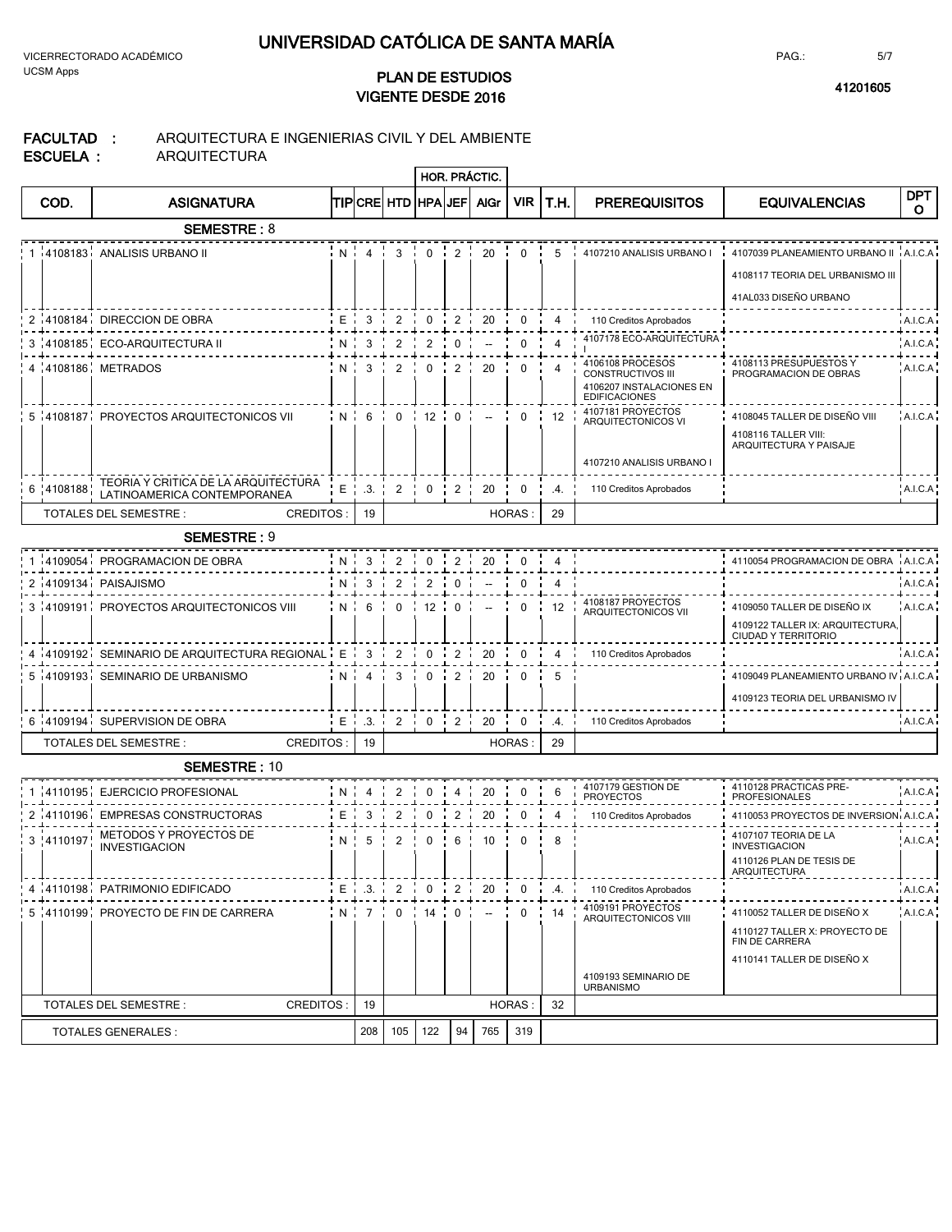VICERRECTORADO ACADÉMICO UCSM Apps

## **2016 <sup>41201605</sup> VIGENTE DESDE PLAN DE ESTUDIOS**

PAG.:

#### **FACULTAD :** ARQUITECTURA E INGENIERIAS CIVIL Y DEL AMBIENTE

| ESCUELA |  |
|---------|--|
|         |  |

ARQUITECTURA

|             |                                                    |     |                |                          |                |                | HOR. PRÁCTIC.                                                                      |               |                  |                                                                                                  |                                                                                               |                 |
|-------------|----------------------------------------------------|-----|----------------|--------------------------|----------------|----------------|------------------------------------------------------------------------------------|---------------|------------------|--------------------------------------------------------------------------------------------------|-----------------------------------------------------------------------------------------------|-----------------|
| COD.        | <b>ASIGNATURA</b>                                  |     |                | TIPICRE  HTD   HPA   JEF |                |                | <b>AIGr</b>                                                                        | <b>VIR</b>    | T.H.             | <b>PREREQUISITOS</b>                                                                             | <b>EQUIVALENCIAS</b>                                                                          | <b>DPT</b><br>O |
|             | <b>SEMESTRE: 8</b>                                 |     |                |                          |                |                |                                                                                    |               |                  |                                                                                                  |                                                                                               |                 |
|             | 1 4108183 ANALISIS URBANO II                       |     | $N$ $4$        | 3                        |                |                | $0 \t{1} 2 \t{1} 20$                                                               | $\mathbf{0}$  | 5 <sup>5</sup>   | i 4107210 ANALISIS URBANO I                                                                      | 4107039 PLANEAMIENTO URBANO II                                                                | A.I.C.A         |
|             |                                                    |     |                |                          |                |                |                                                                                    |               |                  |                                                                                                  | 4108117 TEORIA DEL URBANISMO III                                                              |                 |
|             |                                                    |     |                |                          |                |                |                                                                                    |               |                  |                                                                                                  | 41AL033 DISEÑO URBANO                                                                         |                 |
|             | 2 4108184 DIRECCION DE OBRA                        | E i | $\mathbf{3}$   | $\overline{2}$           | $0 \div 2$     |                | 20                                                                                 | $\mathbf 0$   | $\overline{4}$   | 110 Creditos Aprobados                                                                           |                                                                                               | A.I.C.A         |
|             | 3 4108185 ECO-ARQUITECTURA II                      | N : | 3              | 2                        | 2              | 0              |                                                                                    | 0             | $\overline{4}$   | 4107178 ECO-ARQUITECTURA                                                                         |                                                                                               | A.I.C.A         |
|             | 4 4108186 METRADOS                                 | Ni  | -3             | 2                        | $\mathbf{0}$   | 2              | 20                                                                                 | $\mathbf 0$   | $\overline{4}$   | 4106108 PROCESOS<br><b>CONSTRUCTIVOS III</b><br>4106207 INSTALACIONES EN<br><b>EDIFICACIONES</b> | 4108113 PRESUPUESTOS Y<br>PROGRAMACION DE OBRAS                                               | A.I.C.A         |
|             | 5 4108187 PROYECTOS ARQUITECTONICOS VII            |     | $N$ $6$        | $\mathbf{0}$             | 12:0:          |                | $\sim$                                                                             | $\mathbf{0}$  | $\frac{1}{1}$ 12 | 4107181 PROYECTOS<br>ARQUITECTONICOS VI                                                          | 4108045 TALLER DE DISEÑO VIII                                                                 | A.I.C.A         |
|             |                                                    |     |                |                          |                |                |                                                                                    |               |                  | 4107210 ANALISIS URBANO I                                                                        | 4108116 TALLER VIII:<br>ARQUITECTURA Y PAISAJE                                                |                 |
| 6 .4108188  | TEORIA Y CRITICA DE LA ARQUITECTURA                |     | $E$ $\cdot$ 3. | 2                        |                | $0$ $: 2$ $:$  |                                                                                    | $\mathbf 0$   |                  | 110 Creditos Aprobados                                                                           |                                                                                               |                 |
|             | LATINOAMERICA CONTEMPORANEA                        |     |                |                          |                |                | 20                                                                                 |               | .4.              |                                                                                                  |                                                                                               | A.I.C.A         |
|             | <b>CREDITOS:</b><br>TOTALES DEL SEMESTRE :         |     | 19             |                          |                |                |                                                                                    | <b>HORAS:</b> | 29               |                                                                                                  |                                                                                               |                 |
|             | <b>SEMESTRE: 9</b>                                 |     |                |                          |                |                |                                                                                    |               |                  |                                                                                                  |                                                                                               |                 |
|             | 4109054 PROGRAMACION DE OBRA                       |     | $N \cdot 3$    | $\overline{2}$           |                |                | $0$ $1$ $2$ $1$ $20$ $1$ $0$ $1$                                                   |               | $\overline{4}$   |                                                                                                  | 4110054 PROGRAMACION DE OBRA                                                                  | A.I.C.A         |
|             | 2 4109134 PAISAJISMO                               | N.  | 3              | 2                        | $\overline{2}$ | $\mathbf 0$    | $\overline{\phantom{a}}$                                                           | $\mathbf 0$   | $\overline{4}$   |                                                                                                  |                                                                                               | A.I.C.A         |
|             | 3 4109191 PROYECTOS ARQUITECTONICOS VIII           |     | $N$ 6          | $\mathbf 0$              | $12 \div 0$    |                | $\overline{\phantom{a}}$                                                           | $\mathbf 0$   | 12               | 4108187 PROYECTOS<br>ARQUITECTONICOS VII                                                         | 4109050 TALLER DE DISEÑO IX<br>4109122 TALLER IX: ARQUITECTURA,<br><b>CIUDAD Y TERRITORIO</b> | A.I.C.A         |
|             | 4 4109192 SEMINARIO DE ARQUITECTURA REGIONAL E 3 2 |     |                |                          |                | $0 \t 2 \t 1$  | 20                                                                                 |               | $0 \cdot 4$      | 110 Creditos Aprobados                                                                           |                                                                                               | A.I.C.A         |
|             | 5 4109193 SEMINARIO DE URBANISMO                   |     | $N$ 4 $\cdot$  | $\mathbf{3}$             | $0\quad$       | $2^{\circ}$    | 20                                                                                 | $\mathbf{0}$  | 5                |                                                                                                  | 4109049 PLANEAMIENTO URBANO IV A.I.C.A                                                        |                 |
|             |                                                    |     |                |                          |                |                |                                                                                    |               |                  |                                                                                                  | 4109123 TEORIA DEL URBANISMO IV                                                               |                 |
|             | 6 4109194 SUPERVISION DE OBRA                      |     | $E \cdot .3$ . | $\overline{2}$           | $0 \t12$       |                | 20                                                                                 | 0             | .4.              | 110 Creditos Aprobados                                                                           |                                                                                               | A.I.C.A         |
|             | <b>CREDITOS:</b><br>TOTALES DEL SEMESTRE :         |     | 19             |                          |                |                |                                                                                    | <b>HORAS:</b> | 29               |                                                                                                  |                                                                                               |                 |
|             | <b>SEMESTRE: 10</b>                                |     |                |                          |                |                |                                                                                    |               |                  |                                                                                                  |                                                                                               |                 |
|             | 1 4110195 EJERCICIO PROFESIONAL                    | N i | 4              | $\overline{2}$           | $\Omega$       | 4              | 20                                                                                 | $\Omega$      | 6                | 4107179 GESTION DE<br><b>PROYECTOS</b>                                                           | 4110128 PRACTICAS PRE-<br><b>PROFESIONALES</b>                                                | A.I.C.A         |
| i 4110196 i | <b>EMPRESAS CONSTRUCTORAS</b>                      | E   | 3              | $\overline{2}$           | $\mathbf 0$    | $\overline{2}$ | 20                                                                                 | 0             | $\overline{4}$   | 110 Creditos Aprobados                                                                           | 4110053 PROYECTOS DE INVERSION A.I.C.A                                                        |                 |
| 3 !4110197  | METODOS Y PROYECTOS DE                             | N ! | 5              | $\overline{2}$           | 0              | 6              | 10                                                                                 | 0             | 8                |                                                                                                  | 4107107 TEORIA DE LA                                                                          | A.I.C.A         |
|             | <b>INVESTIGACION</b>                               |     |                |                          |                |                |                                                                                    |               |                  |                                                                                                  | <b>INVESTIGACION</b><br>4110126 PLAN DE TESIS DE<br>ARQUITECTURA                              |                 |
|             | 4 4110198 PATRIMONIO EDIFICADO                     |     |                |                          |                |                | $E$ , $3$ , $1$ , $2$ , $1$ , $0$ , $1$ , $2$ , $1$ , $20$ , $1$ , $0$ , $1$ , $4$ |               |                  | 110 Creditos Aprobados                                                                           |                                                                                               | A.I.C.A         |
|             | 5 4110199 PROYECTO DE FIN DE CARRERA               |     |                |                          |                |                | $N:7:0:14:0:-1$                                                                    |               | $0 \t14$         | 4109191 PROYECTOS<br>ARQUITECTONICOS VIII                                                        | 4110052 TALLER DE DISEÑO X                                                                    | A.I.C.A         |
|             |                                                    |     |                |                          |                |                |                                                                                    |               |                  |                                                                                                  | 4110127 TALLER X: PROYECTO DE<br>FIN DE CARRERA                                               |                 |
|             |                                                    |     |                |                          |                |                |                                                                                    |               |                  |                                                                                                  | 4110141 TALLER DE DISEÑO X                                                                    |                 |
|             |                                                    |     |                |                          |                |                |                                                                                    |               |                  | 4109193 SEMINARIO DE<br><b>URBANISMO</b>                                                         |                                                                                               |                 |
|             | TOTALES DEL SEMESTRE :<br><b>CREDITOS:</b>         |     | 19             |                          |                |                |                                                                                    | <b>HORAS:</b> | 32               |                                                                                                  |                                                                                               |                 |
|             | <b>TOTALES GENERALES:</b>                          |     | 208            | 105                      | 122            | 94             | 765                                                                                | 319           |                  |                                                                                                  |                                                                                               |                 |

5/7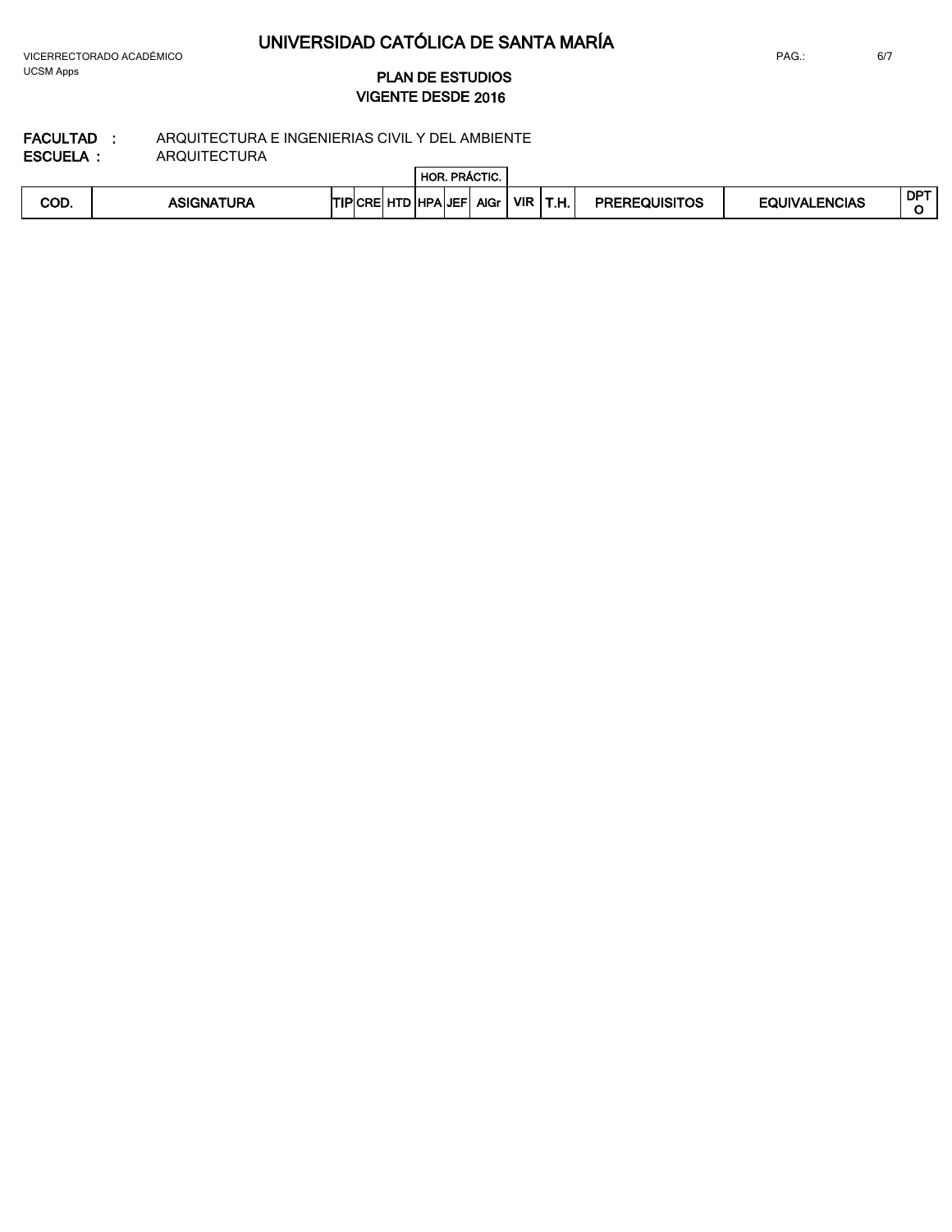VICERRECTORADO ACADÉMICO UCSM Apps

## **2016 VIGENTE DESDE PLAN DE ESTUDIOS**

 $\overline{a}$ 

#### **FACULTAD : ESCUELA :** ARQUITECTURA E INGENIERIAS CIVIL Y DEL AMBIENTE ARQUITECTURA

|      |                   |                |            | HOR.       |              | R. PRÁCTIC. |            |                |                      |                      |            |
|------|-------------------|----------------|------------|------------|--------------|-------------|------------|----------------|----------------------|----------------------|------------|
| COD. | <b>ASIGNATURA</b> | <b>TIPICRE</b> | utr<br>. . | <b>NOL</b> | <b>ALJEF</b> | <b>AlGr</b> | <b>VIR</b> | <b>TH</b><br>. | <b>PREREQUISITOS</b> | <b>EQUIVALENCIAS</b> | <b>DPT</b> |

6/7